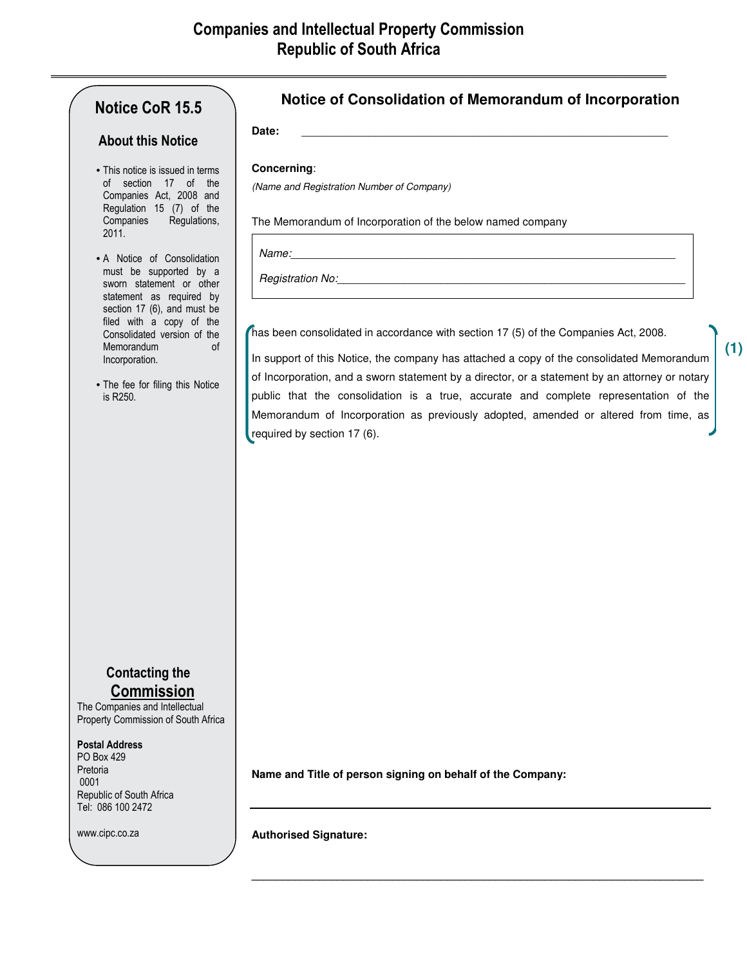**\_\_\_\_\_\_\_\_\_\_\_\_\_\_\_\_\_\_\_\_\_\_\_\_\_\_\_\_\_\_\_\_\_\_\_\_\_\_\_\_\_\_\_\_\_\_\_\_\_\_\_\_\_\_\_\_\_\_\_\_\_\_\_\_\_\_\_\_\_\_\_\_\_\_\_\_\_\_\_**

# **Notice CoR 15.5**

## **About this Notice**

- This notice is issued in terms of section 17 of the Companies Act, 2008 and Regulation 15 (7) of the Companies Regulations, 2011.
- A Notice of Consolidation must be supported by a sworn statement or other statement as required by section 17 (6), and must be filed with a copy of the Consolidated version of the Memorandum of Incorporation.
- The fee for filing this Notice is R250.

## **Notice of Consolidation of Memorandum of Incorporation**

**Date:** \_\_\_\_\_\_\_\_\_\_\_\_\_\_\_\_\_\_\_\_\_\_\_\_\_\_\_\_\_\_\_\_\_\_\_\_\_\_\_\_\_\_\_\_\_\_\_\_\_\_\_\_\_\_\_\_\_\_\_\_

## **Concerning**:

(Name and Registration Number of Company)

The Memorandum of Incorporation of the below named company

Name:\_\_\_\_\_\_\_\_\_\_\_\_\_\_\_\_\_\_\_\_\_\_\_\_\_\_\_\_\_\_\_\_\_\_\_\_\_\_\_\_\_\_\_\_\_\_\_\_\_\_\_\_\_\_\_\_\_\_\_\_\_\_\_

Registration No:

has been consolidated in accordance with section 17 (5) of the Companies Act, 2008.

In support of this Notice, the company has attached a copy of the consolidated Memorandum of Incorporation, and a sworn statement by a director, or a statement by an attorney or notary public that the consolidation is a true, accurate and complete representation of the Memorandum of Incorporation as previously adopted, amended or altered from time, as required by section 17 (6).

**Contacting the Commission**

The Companies and Intellectual Property Commission of South Africa

#### **Postal Address**

PO Box 429 Pretoria 0001 Republic of South Africa Tel: 086 100 2472

www.cipc.co.za

**Name and Title of person signing on behalf of the Company:** 

**\_\_\_\_\_\_\_\_\_\_\_\_\_\_\_\_\_\_\_\_\_\_\_\_\_\_\_\_\_\_\_\_\_\_\_\_\_\_\_\_\_\_\_\_\_\_\_\_\_\_\_\_\_\_\_\_\_\_\_\_\_\_\_\_\_\_\_\_\_\_\_\_\_\_** 

**Authorised Signature:** 

**(1)**